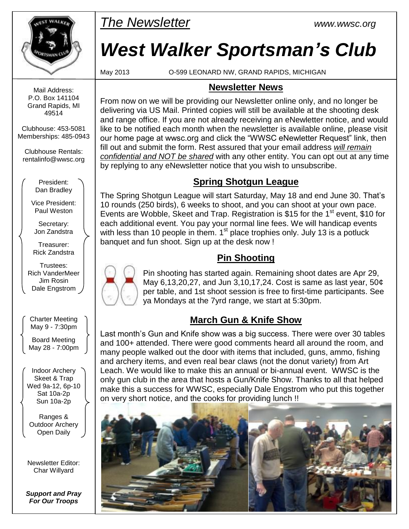

*The Newsletter www.wwsc.org*

# *West Walker Sportsman's Club*

May 2013 O-599 LEONARD NW, GRAND RAPIDS, MICHIGAN

#### **Newsletter News**

From now on we will be providing our Newsletter online only, and no longer be delivering via US Mail. Printed copies will still be available at the shooting desk and range office. If you are not already receiving an eNewletter notice, and would like to be notified each month when the newsletter is available online, please visit our home page at wwsc.org and click the "WWSC eNewletter Request" link, then fill out and submit the form. Rest assured that your email address *will remain confidential and NOT be shared* with any other entity. You can opt out at any time by replying to any eNewsletter notice that you wish to unsubscribe.

#### **Spring Shotgun League**

The Spring Shotgun League will start Saturday, May 18 and end June 30. That's 10 rounds (250 birds), 6 weeks to shoot, and you can shoot at your own pace. Events are Wobble. Skeet and Trap. Registration is \$15 for the 1<sup>st</sup> event, \$10 for each additional event. You pay your normal line fees. We will handicap events with less than 10 people in them.  $1<sup>st</sup>$  place trophies only. July 13 is a potluck banquet and fun shoot. Sign up at the desk now !

## **Pin Shooting**

Pin shooting has started again. Remaining shoot dates are Apr 29, May 6,13,20,27, and Jun 3,10,17,24. Cost is same as last year, 50¢ per table, and 1st shoot session is free to first-time participants. See ya Mondays at the 7yrd range, we start at 5:30pm.

### **March Gun & Knife Show**

Last month's Gun and Knife show was a big success. There were over 30 tables and 100+ attended. There were good comments heard all around the room, and many people walked out the door with items that included, guns, ammo, fishing and archery items, and even real bear claws (not the donut variety) from Art Leach. We would like to make this an annual or bi-annual event. WWSC is the only gun club in the area that hosts a Gun/Knife Show. Thanks to all that helped make this a success for WWSC, especially Dale Engstrom who put this together on very short notice, and the cooks for providing lunch !!



Mail Address: P.O. Box 141104 Grand Rapids, MI 49514

Clubhouse: 453-5081 Memberships: 485-0943

Clubhouse Rentals: [rentalinfo@wwsc.org](mailto:wwscrental@aol.com)

> President: Dan Bradley

Vice President: Paul Weston

Secretary: Jon Zandstra

Treasurer: Rick Zandstra

Trustees: Rich VanderMeer Jim Rosin Dale Engstrom

Charter Meeting May 9 - 7:30pm

Board Meeting May 28 - 7:00pm

Indoor Archery Skeet & Trap Wed 9a-12, 6p-10 Sat 10a-2p Sun 10a-2p

Ranges & Outdoor Archery Open Daily

Newsletter Editor: Char Willyard

*Support and Pray For Our Troops*

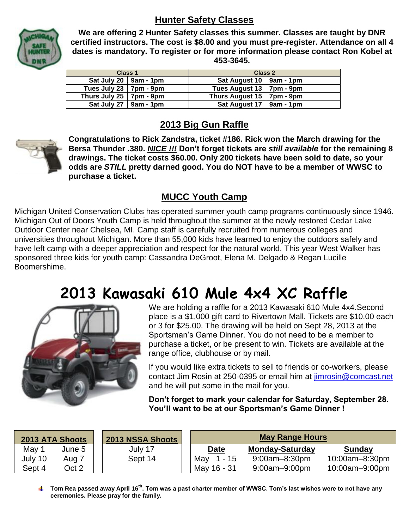#### **Hunter Safety Classes**



**We are offering 2 Hunter Safety classes this summer. Classes are taught by DNR certified instructors. The cost is \$8.00 and you must pre-register. Attendance on all 4 dates is mandatory. To register or for more information please contact Ron Kobel at 453-3645.**

| <b>Class 1</b>                     |  | <b>Class 2</b>              |  |
|------------------------------------|--|-----------------------------|--|
| Sat July 20 $\vert$ 9am - 1pm      |  | Sat August 10   9am - 1pm   |  |
| Tues July 23   $7 \text{pm}$ - 9pm |  | Tues August 13   7pm - 9pm  |  |
| Thurs July 25 $\vert$ 7pm - 9pm    |  | Thurs August 15   7pm - 9pm |  |
| Sat July 27   9am - 1pm            |  | Sat August 17   $9am - 1pm$ |  |

#### **2013 Big Gun Raffle**



**Congratulations to Rick Zandstra, ticket #186. Rick won the March drawing for the Bersa Thunder .380.** *NICE !!!* **Don't forget tickets are** *still available* **for the remaining 8 drawings. The ticket costs \$60.00. Only 200 tickets have been sold to date, so your odds are** *STILL* **pretty darned good. You do NOT have to be a member of WWSC to purchase a ticket.**

#### **MUCC Youth Camp**

Michigan United Conservation Clubs has operated summer youth camp programs continuously since 1946. Michigan Out of Doors Youth Camp is held throughout the summer at the newly restored Cedar Lake Outdoor Center near Chelsea, MI. Camp staff is carefully recruited from numerous colleges and universities throughout Michigan. More than 55,000 kids have learned to enjoy the outdoors safely and have left camp with a deeper appreciation and respect for the natural world. This year West Walker has sponsored three kids for youth camp: Cassandra DeGroot, Elena M. Delgado & Regan Lucille Boomershime.

## **2013 Kawasaki 610 Mule 4x4 XC Raffle**



We are holding a raffle for a 2013 Kawasaki 610 Mule 4x4.Second place is a \$1,000 gift card to Rivertown Mall. Tickets are \$10.00 each or 3 for \$25.00. The drawing will be held on Sept 28, 2013 at the Sportsman's Game Dinner. You do not need to be a member to purchase a ticket, or be present to win. Tickets are available at the range office, clubhouse or by mail.

If you would like extra tickets to sell to friends or co-workers, please contact Jim Rosin at 250-0395 or email him at [jimrosin@comcast.net](mailto:jimrosin@comcast.net)  and he will put some in the mail for you.

**Don't forget to mark your calendar for Saturday, September 28. You'll want to be at our Sportsman's Game Dinner !**

| <b>2013 ATA Shoots</b> |        | <b>2013 NSSA Shoots</b> | <b>May Range Hours</b> |                        |                |
|------------------------|--------|-------------------------|------------------------|------------------------|----------------|
| May 1                  | June 5 | July 17                 | <b>Date</b>            | <b>Monday-Saturday</b> | <b>Sunday</b>  |
| July 10                | Aug 7  | Sept 14                 | May 1 - 15             | 9:00am-8:30pm          | 10:00am-8:30pm |
| Sept 4                 | Oct 2  |                         | May 16 - 31            | $9:00$ am $-9:00$ pm   | 10:00am-9:00pm |

**Tom Rea passed away April 16th. Tom was a past charter member of WWSC. Tom's last wishes were to not have any ceremonies. Please pray for the family.**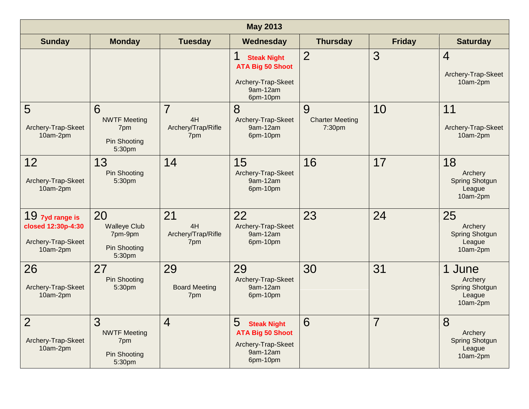| <b>May 2013</b>                                                         |                                                                  |                                                   |                                                                                                  |                                       |               |                                                                  |
|-------------------------------------------------------------------------|------------------------------------------------------------------|---------------------------------------------------|--------------------------------------------------------------------------------------------------|---------------------------------------|---------------|------------------------------------------------------------------|
| <b>Sunday</b>                                                           | <b>Monday</b>                                                    | <b>Tuesday</b>                                    | Wednesday                                                                                        | <b>Thursday</b>                       | <b>Friday</b> | <b>Saturday</b>                                                  |
|                                                                         |                                                                  |                                                   | <b>Steak Night</b><br><b>ATA Big 50 Shoot</b><br>Archery-Trap-Skeet<br>9am-12am<br>6pm-10pm      | $\overline{2}$                        | 3             | $\overline{4}$<br>Archery-Trap-Skeet<br>10am-2pm                 |
| 5<br>Archery-Trap-Skeet<br>10am-2pm                                     | 6<br><b>NWTF Meeting</b><br>7pm<br><b>Pin Shooting</b><br>5:30pm | $\overline{7}$<br>4H<br>Archery/Trap/Rifle<br>7pm | 8<br>Archery-Trap-Skeet<br>9am-12am<br>6pm-10pm                                                  | 9<br><b>Charter Meeting</b><br>7:30pm | 10            | 11<br>Archery-Trap-Skeet<br>10am-2pm                             |
| 12<br>Archery-Trap-Skeet<br>10am-2pm                                    | 13<br><b>Pin Shooting</b><br>5:30pm                              | 14                                                | 15<br>Archery-Trap-Skeet<br>9am-12am<br>6pm-10pm                                                 | 16                                    | 17            | 18<br>Archery<br><b>Spring Shotgun</b><br>League<br>10am-2pm     |
| 19 7yd range is<br>closed 12:30p-4:30<br>Archery-Trap-Skeet<br>10am-2pm | 20<br><b>Walleye Club</b><br>7pm-9pm<br>Pin Shooting<br>5:30pm   | 21<br>4H<br>Archery/Trap/Rifle<br>7pm             | 22<br>Archery-Trap-Skeet<br>9am-12am<br>6pm-10pm                                                 | 23                                    | 24            | 25<br>Archery<br><b>Spring Shotgun</b><br>League<br>10am-2pm     |
| 26<br>Archery-Trap-Skeet<br>10am-2pm                                    | 27<br><b>Pin Shooting</b><br>5:30pm                              | 29<br><b>Board Meeting</b><br>7pm                 | 29<br>Archery-Trap-Skeet<br>9am-12am<br>6pm-10pm                                                 | 30                                    | 31            | 1 June<br>Archery<br><b>Spring Shotgun</b><br>League<br>10am-2pm |
| $\overline{2}$<br>Archery-Trap-Skeet<br>10am-2pm                        | 3<br><b>NWTF Meeting</b><br>7pm<br><b>Pin Shooting</b><br>5:30pm | $\overline{4}$                                    | 5<br><b>Steak Night</b><br><b>ATA Big 50 Shoot</b><br>Archery-Trap-Skeet<br>9am-12am<br>6pm-10pm | 6                                     | 7             | 8<br>Archery<br><b>Spring Shotgun</b><br>League<br>10am-2pm      |